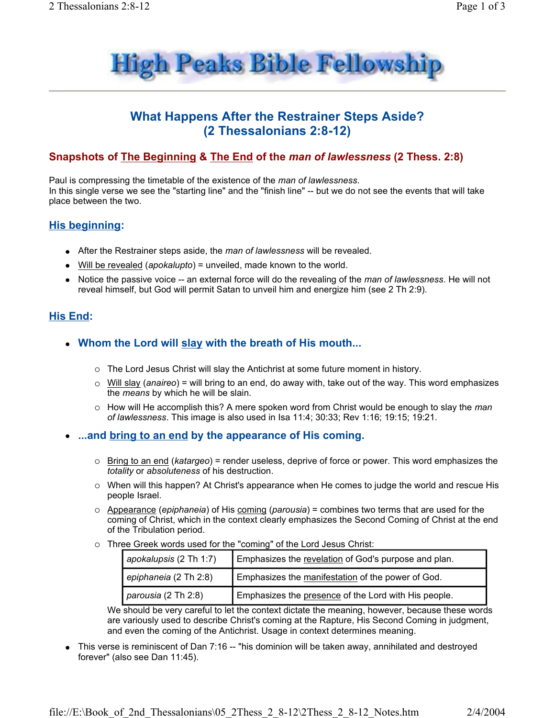

# **What Happens After the Restrainer Steps Aside?** (2 Thessalonians 2:8-12)

## Snapshots of The Beginning & The End of the man of lawlessness (2 Thess. 2:8)

Paul is compressing the timetable of the existence of the man of lawlessness. In this single verse we see the "starting line" and the "finish line" -- but we do not see the events that will take place between the two.

### **His beginning:**

- After the Restrainer steps aside, the man of lawlessness will be revealed.
- Will be revealed (apokalupto) = unveiled, made known to the world.
- Notice the passive voice -- an external force will do the revealing of the man of lawlessness. He will not reveal himself, but God will permit Satan to unveil him and energize him (see 2 Th 2:9).

# **His End:**

- Whom the Lord will slay with the breath of His mouth...
	- $\circ$  The Lord Jesus Christ will slay the Antichrist at some future moment in history.
	- $\circ$  Will slay (anaireo) = will bring to an end, do away with, take out of the way. This word emphasizes the means by which he will be slain.
	- How will He accomplish this? A mere spoken word from Christ would be enough to slay the man of lawlessness. This image is also used in Isa 11:4; 30:33; Rev 1:16; 19:15; 19:21.
- ...and bring to an end by the appearance of His coming.
	- $\circ$  Bring to an end (katargeo) = render useless, deprive of force or power. This word emphasizes the totality or absoluteness of his destruction.
	- $\circ$  When will this happen? At Christ's appearance when He comes to judge the world and rescue His people Israel.
	- $\circ$  Appearance (*epiphaneia*) of His coming (*parousia*) = combines two terms that are used for the coming of Christ, which in the context clearly emphasizes the Second Coming of Christ at the end of the Tribulation period.
	- o Three Greek words used for the "coming" of the Lord Jesus Christ:

| apokalupsis (2 Th 1:7) | Emphasizes the revelation of God's purpose and plan. |
|------------------------|------------------------------------------------------|
| epiphaneia (2 Th 2:8)  | Emphasizes the manifestation of the power of God.    |
| parousia (2 Th 2:8)    | Emphasizes the presence of the Lord with His people. |

We should be very careful to let the context dictate the meaning, however, because these words are variously used to describe Christ's coming at the Rapture, His Second Coming in judgment, and even the coming of the Antichrist. Usage in context determines meaning.

This verse is reminiscent of Dan 7:16 -- "his dominion will be taken away, annihilated and destroyed forever" (also see Dan 11:45).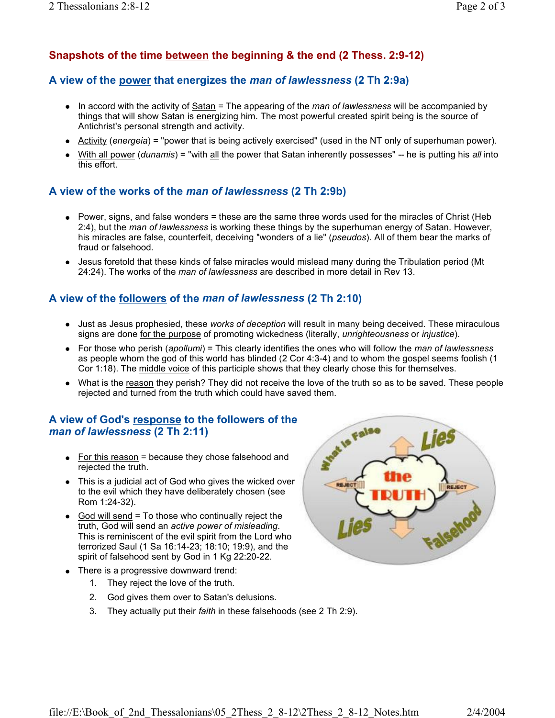# Snapshots of the time between the beginning & the end (2 Thess. 2:9-12)

#### A view of the power that energizes the man of lawlessness (2 Th 2:9a)

- $\bullet$  In accord with the activity of Satan = The appearing of the *man of lawlessness* will be accompanied by things that will show Satan is energizing him. The most powerful created spirit being is the source of Antichrist's personal strength and activity.
- Activity (*energeia*) = "power that is being actively exercised" (used in the NT only of superhuman power).
- With all power (dunamis) = "with all the power that Satan inherently possesses" -- he is putting his all into this effort.

#### A view of the works of the man of lawlessness (2 Th 2:9b)

- Power, signs, and false wonders = these are the same three words used for the miracles of Christ (Heb 2:4), but the man of lawlessness is working these things by the superhuman energy of Satan. However, his miracles are false, counterfeit, deceiving "wonders of a lie" (pseudos). All of them bear the marks of fraud or falsehood
- Jesus foretold that these kinds of false miracles would mislead many during the Tribulation period (Mt 24:24). The works of the man of lawlessness are described in more detail in Rev 13.

#### A view of the followers of the man of lawlessness (2 Th 2:10)

- Just as Jesus prophesied, these works of deception will result in many being deceived. These miraculous signs are done for the purpose of promoting wickedness (literally, unrighteousness or injustice).
- For those who perish (apollumi) = This clearly identifies the ones who will follow the man of lawlessness as people whom the god of this world has blinded (2 Cor 4:3-4) and to whom the gospel seems foolish (1 Cor 1:18). The middle voice of this participle shows that they clearly chose this for themselves.
- What is the reason they perish? They did not receive the love of the truth so as to be saved. These people rejected and turned from the truth which could have saved them.

#### A view of God's response to the followers of the man of lawlessness (2 Th 2:11)

- For this reason = because they chose falsehood and rejected the truth.
- This is a judicial act of God who gives the wicked over to the evil which they have deliberately chosen (see Rom 1:24-32).
- God will send  $=$  To those who continually reject the truth, God will send an active power of misleading. This is reminiscent of the evil spirit from the Lord who terrorized Saul (1 Sa 16:14-23; 18:10; 19:9), and the spirit of falsehood sent by God in 1 Kg 22:20-22.
- There is a progressive downward trend:
	- 1. They reject the love of the truth.
	- 2. God gives them over to Satan's delusions.
	- 3. They actually put their faith in these falsehoods (see 2 Th 2:9).